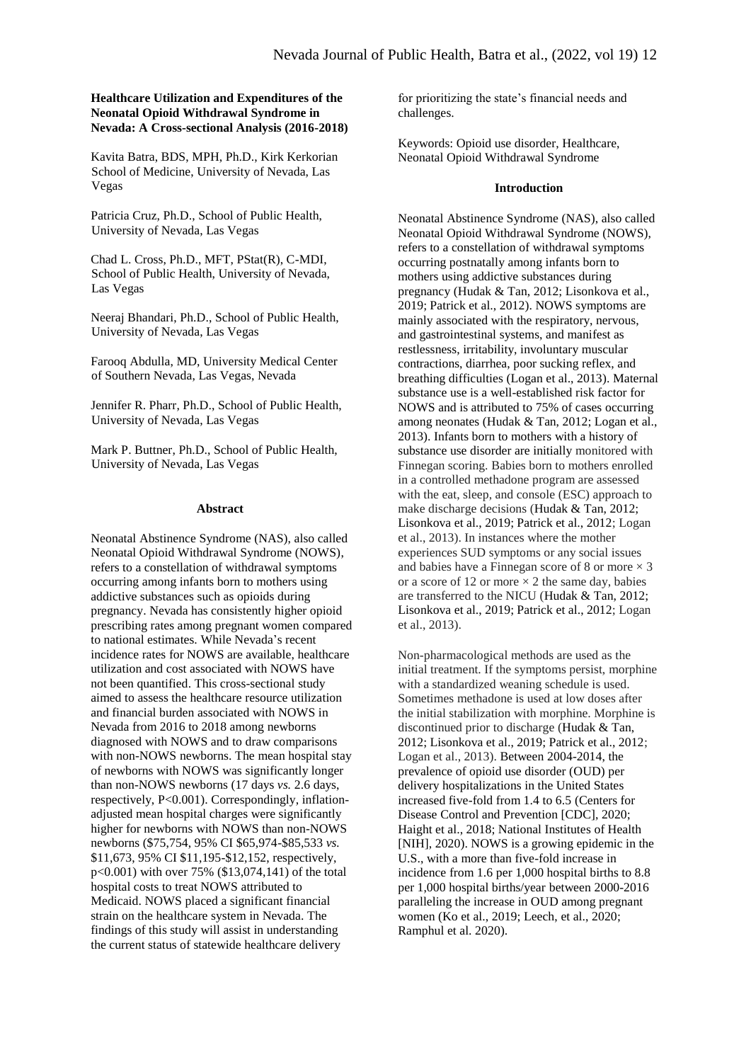# **Healthcare Utilization and Expenditures of the Neonatal Opioid Withdrawal Syndrome in Nevada: A Cross-sectional Analysis (2016-2018)**

Kavita Batra, BDS, MPH, Ph.D., Kirk Kerkorian School of Medicine, University of Nevada, Las Vegas

Patricia Cruz, Ph.D., School of Public Health, University of Nevada, Las Vegas

Chad L. Cross, Ph.D., MFT, PStat(R), C-MDI, School of Public Health, University of Nevada, Las Vegas

Neeraj Bhandari, Ph.D., School of Public Health, University of Nevada, Las Vegas

Farooq Abdulla, MD, University Medical Center of Southern Nevada, Las Vegas, Nevada

Jennifer R. Pharr, Ph.D., School of Public Health, University of Nevada, Las Vegas

Mark P. Buttner, Ph.D., School of Public Health, University of Nevada, Las Vegas

## **Abstract**

Neonatal Abstinence Syndrome (NAS), also called Neonatal Opioid Withdrawal Syndrome (NOWS), refers to a constellation of withdrawal symptoms occurring among infants born to mothers using addictive substances such as opioids during pregnancy. Nevada has consistently higher opioid prescribing rates among pregnant women compared to national estimates. While Nevada's recent incidence rates for NOWS are available, healthcare utilization and cost associated with NOWS have not been quantified. This cross-sectional study aimed to assess the healthcare resource utilization and financial burden associated with NOWS in Nevada from 2016 to 2018 among newborns diagnosed with NOWS and to draw comparisons with non-NOWS newborns. The mean hospital stay of newborns with NOWS was significantly longer than non-NOWS newborns (17 days *vs.* 2.6 days, respectively, P<0.001). Correspondingly, inflationadjusted mean hospital charges were significantly higher for newborns with NOWS than non-NOWS newborns (\$75,754, 95% CI \$65,974-\$85,533 *vs.* \$11,673, 95% CI \$11,195-\$12,152, respectively, p<0.001) with over 75% (\$13,074,141) of the total hospital costs to treat NOWS attributed to Medicaid. NOWS placed a significant financial strain on the healthcare system in Nevada. The findings of this study will assist in understanding the current status of statewide healthcare delivery

for prioritizing the state's financial needs and challenges.

Keywords: Opioid use disorder, Healthcare, Neonatal Opioid Withdrawal Syndrome

## **Introduction**

Neonatal Abstinence Syndrome (NAS), also called Neonatal Opioid Withdrawal Syndrome (NOWS), refers to a constellation of withdrawal symptoms occurring postnatally among infants born to mothers using addictive substances during pregnancy (Hudak & Tan, 2012; Lisonkova et al., 2019; Patrick et al., 2012). NOWS symptoms are mainly associated with the respiratory, nervous, and gastrointestinal systems, and manifest as restlessness, irritability, involuntary muscular contractions, diarrhea, poor sucking reflex, and breathing difficulties (Logan et al., 2013). Maternal substance use is a well-established risk factor for NOWS and is attributed to 75% of cases occurring among neonates (Hudak & Tan, 2012; Logan et al., 2013). Infants born to mothers with a history of substance use disorder are initially monitored with Finnegan scoring. Babies born to mothers enrolled in a controlled methadone program are assessed with the eat, sleep, and console (ESC) approach to make discharge decisions (Hudak & Tan, 2012; Lisonkova et al., 2019; Patrick et al., 2012; Logan et al., 2013). In instances where the mother experiences SUD symptoms or any social issues and babies have a Finnegan score of 8 or more  $\times$  3 or a score of 12 or more  $\times$  2 the same day, babies are transferred to the NICU (Hudak & Tan, 2012; Lisonkova et al., 2019; Patrick et al., 2012; Logan et al., 2013).

Non-pharmacological methods are used as the initial treatment. If the symptoms persist, morphine with a standardized weaning schedule is used. Sometimes methadone is used at low doses after the initial stabilization with morphine. Morphine is discontinued prior to discharge (Hudak & Tan, 2012; Lisonkova et al., 2019; Patrick et al., 2012; Logan et al., 2013). Between 2004-2014, the prevalence of opioid use disorder (OUD) per delivery hospitalizations in the United States increased five-fold from 1.4 to 6.5 (Centers for Disease Control and Prevention [CDC], 2020; Haight et al., 2018; National Institutes of Health [NIH], 2020). NOWS is a growing epidemic in the U.S., with a more than five-fold increase in incidence from 1.6 per 1,000 hospital births to 8.8 per 1,000 hospital births/year between 2000-2016 paralleling the increase in OUD among pregnant women (Ko et al., 2019; Leech, et al., 2020; Ramphul et al. 2020).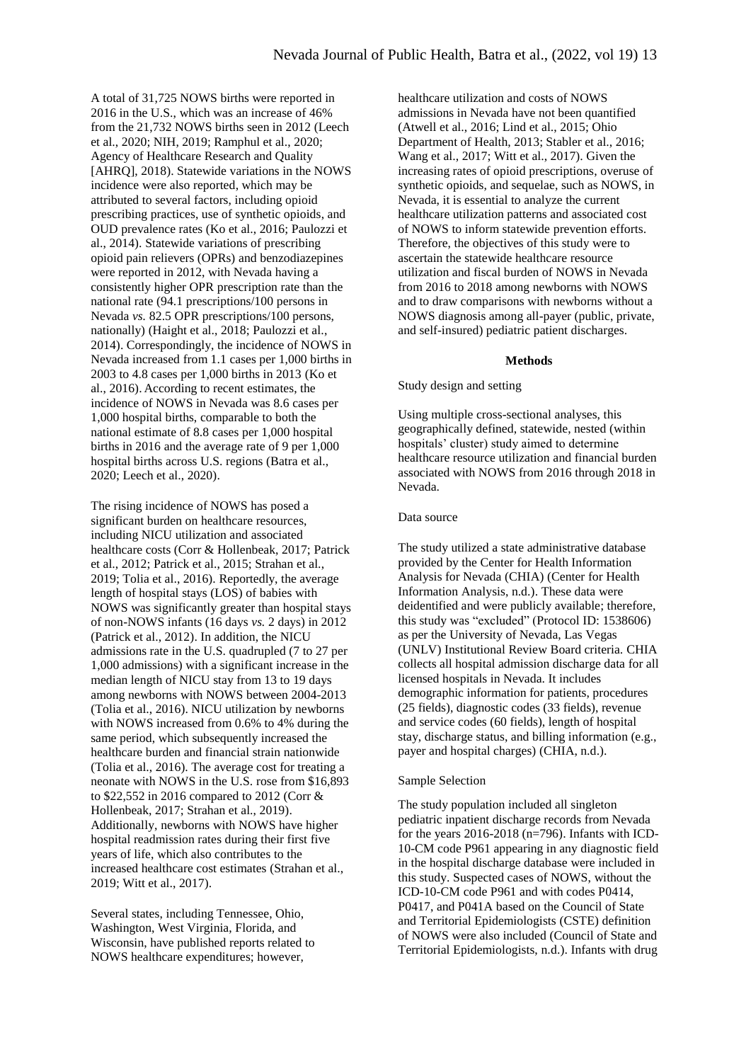A total of 31,725 NOWS births were reported in 2016 in the U.S., which was an increase of 46% from the 21,732 NOWS births seen in 2012 (Leech et al., 2020; NIH, 2019; Ramphul et al., 2020; Agency of Healthcare Research and Quality [AHRQ], 2018). Statewide variations in the NOWS incidence were also reported, which may be attributed to several factors, including opioid prescribing practices, use of synthetic opioids, and OUD prevalence rates (Ko et al., 2016; Paulozzi et al., 2014). Statewide variations of prescribing opioid pain relievers (OPRs) and benzodiazepines were reported in 2012, with Nevada having a consistently higher OPR prescription rate than the national rate (94.1 prescriptions/100 persons in Nevada *vs.* 82.5 OPR prescriptions/100 persons, nationally) (Haight et al., 2018; Paulozzi et al., 2014). Correspondingly, the incidence of NOWS in Nevada increased from 1.1 cases per 1,000 births in 2003 to 4.8 cases per 1,000 births in 2013 (Ko et al., 2016). According to recent estimates, the incidence of NOWS in Nevada was 8.6 cases per 1,000 hospital births, comparable to both the national estimate of 8.8 cases per 1,000 hospital births in 2016 and the average rate of 9 per 1,000 hospital births across U.S. regions (Batra et al., 2020; Leech et al., 2020).

The rising incidence of NOWS has posed a significant burden on healthcare resources, including NICU utilization and associated healthcare costs (Corr & Hollenbeak, 2017; Patrick et al., 2012; Patrick et al., 2015; Strahan et al., 2019; Tolia et al., 2016). Reportedly, the average length of hospital stays (LOS) of babies with NOWS was significantly greater than hospital stays of non-NOWS infants (16 days *vs.* 2 days) in 2012 (Patrick et al., 2012). In addition, the NICU admissions rate in the U.S. quadrupled (7 to 27 per 1,000 admissions) with a significant increase in the median length of NICU stay from 13 to 19 days among newborns with NOWS between 2004-2013 (Tolia et al., 2016). NICU utilization by newborns with NOWS increased from 0.6% to 4% during the same period, which subsequently increased the healthcare burden and financial strain nationwide (Tolia et al., 2016). The average cost for treating a neonate with NOWS in the U.S. rose from \$16,893 to \$22,552 in 2016 compared to 2012 (Corr & Hollenbeak, 2017; Strahan et al., 2019). Additionally, newborns with NOWS have higher hospital readmission rates during their first five years of life, which also contributes to the increased healthcare cost estimates (Strahan et al., 2019; Witt et al., 2017).

Several states, including Tennessee, Ohio, Washington, West Virginia, Florida, and Wisconsin, have published reports related to NOWS healthcare expenditures; however,

healthcare utilization and costs of NOWS admissions in Nevada have not been quantified (Atwell et al., 2016; Lind et al., 2015; Ohio Department of Health, 2013; Stabler et al., 2016; Wang et al., 2017; Witt et al., 2017). Given the increasing rates of opioid prescriptions, overuse of synthetic opioids, and sequelae, such as NOWS, in Nevada, it is essential to analyze the current healthcare utilization patterns and associated cost of NOWS to inform statewide prevention efforts. Therefore, the objectives of this study were to ascertain the statewide healthcare resource utilization and fiscal burden of NOWS in Nevada from 2016 to 2018 among newborns with NOWS and to draw comparisons with newborns without a NOWS diagnosis among all-payer (public, private, and self-insured) pediatric patient discharges.

#### **Methods**

Study design and setting

Using multiple cross-sectional analyses, this geographically defined, statewide, nested (within hospitals' cluster) study aimed to determine healthcare resource utilization and financial burden associated with NOWS from 2016 through 2018 in Nevada.

# Data source

The study utilized a state administrative database provided by the Center for Health Information Analysis for Nevada (CHIA) (Center for Health Information Analysis, n.d.). These data were deidentified and were publicly available; therefore, this study was "excluded" (Protocol ID: 1538606) as per the University of Nevada, Las Vegas (UNLV) Institutional Review Board criteria. CHIA collects all hospital admission discharge data for all licensed hospitals in Nevada. It includes demographic information for patients, procedures (25 fields), diagnostic codes (33 fields), revenue and service codes (60 fields), length of hospital stay, discharge status, and billing information (e.g., payer and hospital charges) (CHIA, n.d.).

## Sample Selection

The study population included all singleton pediatric inpatient discharge records from Nevada for the years 2016-2018 (n=796). Infants with ICD-10-CM code P961 appearing in any diagnostic field in the hospital discharge database were included in this study. Suspected cases of NOWS, without the ICD-10-CM code P961 and with codes P0414, P0417, and P041A based on the Council of State and Territorial Epidemiologists (CSTE) definition of NOWS were also included (Council of State and Territorial Epidemiologists, n.d.). Infants with drug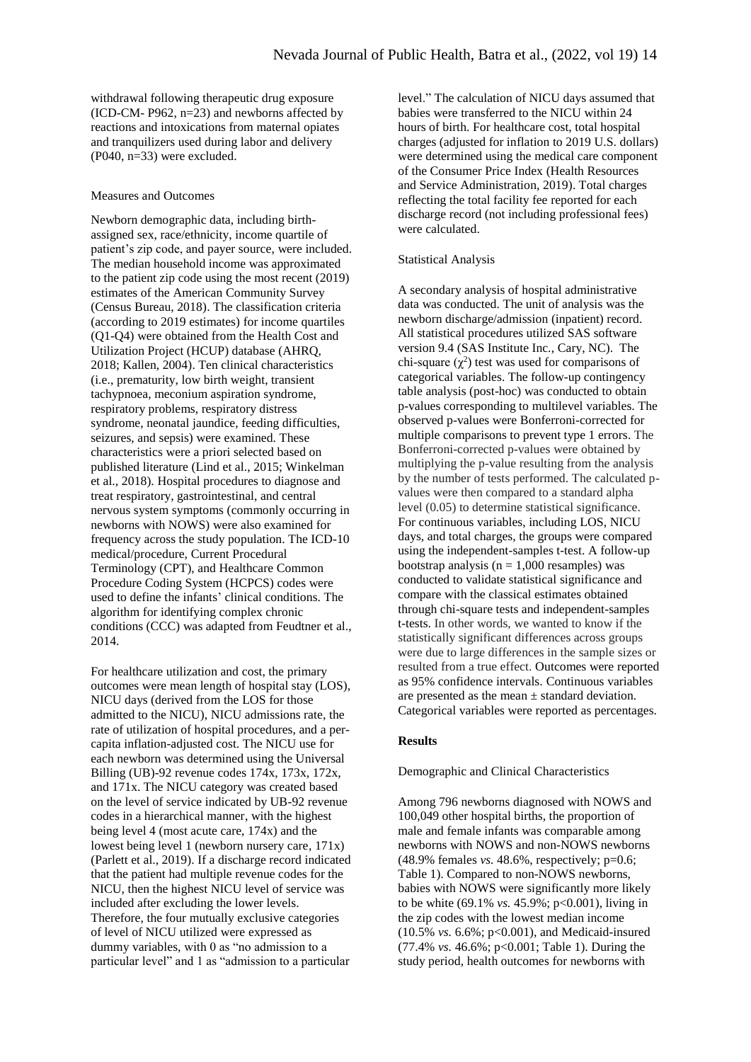withdrawal following therapeutic drug exposure (ICD-CM- P962, n=23) and newborns affected by reactions and intoxications from maternal opiates and tranquilizers used during labor and delivery (P040, n=33) were excluded.

#### Measures and Outcomes

Newborn demographic data, including birthassigned sex, race/ethnicity, income quartile of patient's zip code, and payer source, were included. The median household income was approximated to the patient zip code using the most recent (2019) estimates of the American Community Survey (Census Bureau, 2018). The classification criteria (according to 2019 estimates) for income quartiles (Q1-Q4) were obtained from the Health Cost and Utilization Project (HCUP) database (AHRQ, 2018; Kallen, 2004). Ten clinical characteristics (i.e., prematurity, low birth weight, transient tachypnoea, meconium aspiration syndrome, respiratory problems, respiratory distress syndrome, neonatal jaundice, feeding difficulties, seizures, and sepsis) were examined. These characteristics were a priori selected based on published literature (Lind et al., 2015; Winkelman et al., 2018). Hospital procedures to diagnose and treat respiratory, gastrointestinal, and central nervous system symptoms (commonly occurring in newborns with NOWS) were also examined for frequency across the study population. The ICD-10 medical/procedure, Current Procedural Terminology (CPT), and Healthcare Common Procedure Coding System (HCPCS) codes were used to define the infants' clinical conditions. The algorithm for identifying complex chronic conditions (CCC) was adapted from Feudtner et al., 2014.

For healthcare utilization and cost, the primary outcomes were mean length of hospital stay (LOS), NICU days (derived from the LOS for those admitted to the NICU), NICU admissions rate, the rate of utilization of hospital procedures, and a percapita inflation-adjusted cost. The NICU use for each newborn was determined using the Universal Billing (UB)-92 revenue codes 174x, 173x, 172x, and 171x. The NICU category was created based on the level of service indicated by UB-92 revenue codes in a hierarchical manner, with the highest being level 4 (most acute care, 174x) and the lowest being level 1 (newborn nursery care, 171x) (Parlett et al., 2019). If a discharge record indicated that the patient had multiple revenue codes for the NICU, then the highest NICU level of service was included after excluding the lower levels. Therefore, the four mutually exclusive categories of level of NICU utilized were expressed as dummy variables, with 0 as "no admission to a particular level" and 1 as "admission to a particular

level." The calculation of NICU days assumed that babies were transferred to the NICU within 24 hours of birth. For healthcare cost, total hospital charges (adjusted for inflation to 2019 U.S. dollars) were determined using the medical care component of the Consumer Price Index (Health Resources and Service Administration, 2019). Total charges reflecting the total facility fee reported for each discharge record (not including professional fees) were calculated.

## Statistical Analysis

A secondary analysis of hospital administrative data was conducted. The unit of analysis was the newborn discharge/admission (inpatient) record. All statistical procedures utilized SAS software version 9.4 (SAS Institute Inc., Cary, NC). The chi-square  $(\chi^2)$  test was used for comparisons of categorical variables. The follow-up contingency table analysis (post-hoc) was conducted to obtain p-values corresponding to multilevel variables. The observed p-values were Bonferroni-corrected for multiple comparisons to prevent type 1 errors. The Bonferroni-corrected p-values were obtained by multiplying the p-value resulting from the analysis by the number of tests performed. The calculated pvalues were then compared to a standard alpha level (0.05) to determine statistical significance. For continuous variables, including LOS, NICU days, and total charges, the groups were compared using the independent-samples t-test. A follow-up bootstrap analysis ( $n = 1,000$  resamples) was conducted to validate statistical significance and compare with the classical estimates obtained through chi-square tests and independent-samples t-tests. In other words, we wanted to know if the statistically significant differences across groups were due to large differences in the sample sizes or resulted from a true effect. Outcomes were reported as 95% confidence intervals. Continuous variables are presented as the mean  $\pm$  standard deviation. Categorical variables were reported as percentages.

# **Results**

#### Demographic and Clinical Characteristics

Among 796 newborns diagnosed with NOWS and 100,049 other hospital births, the proportion of male and female infants was comparable among newborns with NOWS and non-NOWS newborns (48.9% females *vs.* 48.6%, respectively; p=0.6; Table 1). Compared to non-NOWS newborns, babies with NOWS were significantly more likely to be white (69.1% *vs.* 45.9%; p<0.001), living in the zip codes with the lowest median income (10.5% *vs.* 6.6%; p<0.001), and Medicaid-insured (77.4% *vs.* 46.6%; p<0.001; Table 1). During the study period, health outcomes for newborns with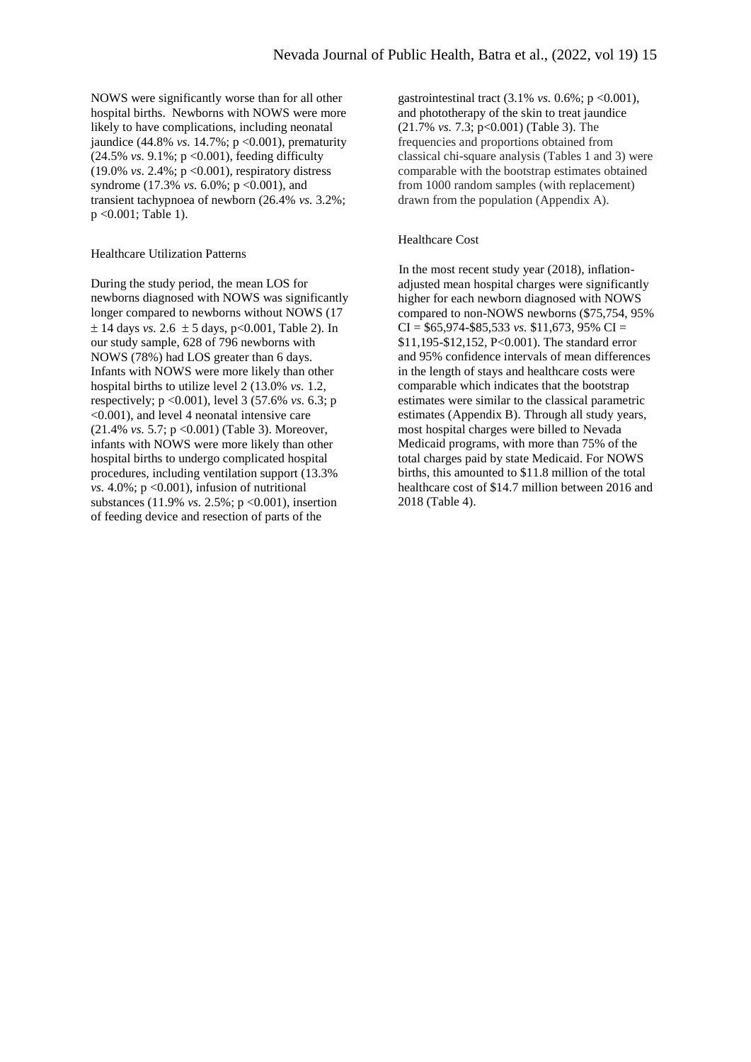NOWS were significantly worse than for all other hospital births. Newborns with NOWS were more likely to have complications, including neonatal jaundice (44.8% *vs.* 14.7%; p <0.001), prematurity (24.5% *vs.* 9.1%; p <0.001), feeding difficulty (19.0% *vs*. 2.4%; p <0.001), respiratory distress syndrome (17.3% *vs.* 6.0%; p < 0.001), and transient tachypnoea of newborn (26.4% *vs.* 3.2%; p <0.001; Table 1).

# Healthcare Utilization Patterns

During the study period, the mean LOS for newborns diagnosed with NOWS was significantly longer compared to newborns without NOWS (17  $\pm$  14 days *vs.* 2.6  $\pm$  5 days, p<0.001, Table 2). In our study sample, 628 of 796 newborns with NOWS (78%) had LOS greater than 6 days. Infants with NOWS were more likely than other hospital births to utilize level 2 (13.0% *vs.* 1.2, respectively; p <0.001), level 3 (57.6% *vs.* 6.3; p <0.001), and level 4 neonatal intensive care (21.4% *vs.* 5.7; p <0.001) (Table 3). Moreover, infants with NOWS were more likely than other hospital births to undergo complicated hospital procedures, including ventilation support (13.3% *vs.*  $4.0\%$ ;  $p \le 0.001$ ), infusion of nutritional substances (11.9% *vs.* 2.5%; p <0.001), insertion of feeding device and resection of parts of the

gastrointestinal tract (3.1% *vs.* 0.6%; p <0.001), and phototherapy of the skin to treat jaundice (21.7% *vs.* 7.3; p<0.001) (Table 3). The frequencies and proportions obtained from classical chi-square analysis (Tables 1 and 3) were comparable with the bootstrap estimates obtained from 1000 random samples (with replacement) drawn from the population (Appendix A).

# Healthcare Cost

In the most recent study year (2018), inflationadjusted mean hospital charges were significantly higher for each newborn diagnosed with NOWS compared to non-NOWS newborns (\$75,754, 95%  $CI = $65,974 - $85,533$  *vs.* \$11,673, 95%  $CI =$ \$11,195-\$12,152, P<0.001). The standard error and 95% confidence intervals of mean differences in the length of stays and healthcare costs were comparable which indicates that the bootstrap estimates were similar to the classical parametric estimates (Appendix B). Through all study years, most hospital charges were billed to Nevada Medicaid programs, with more than 75% of the total charges paid by state Medicaid. For NOWS births, this amounted to \$11.8 million of the total healthcare cost of \$14.7 million between 2016 and 2018 (Table 4).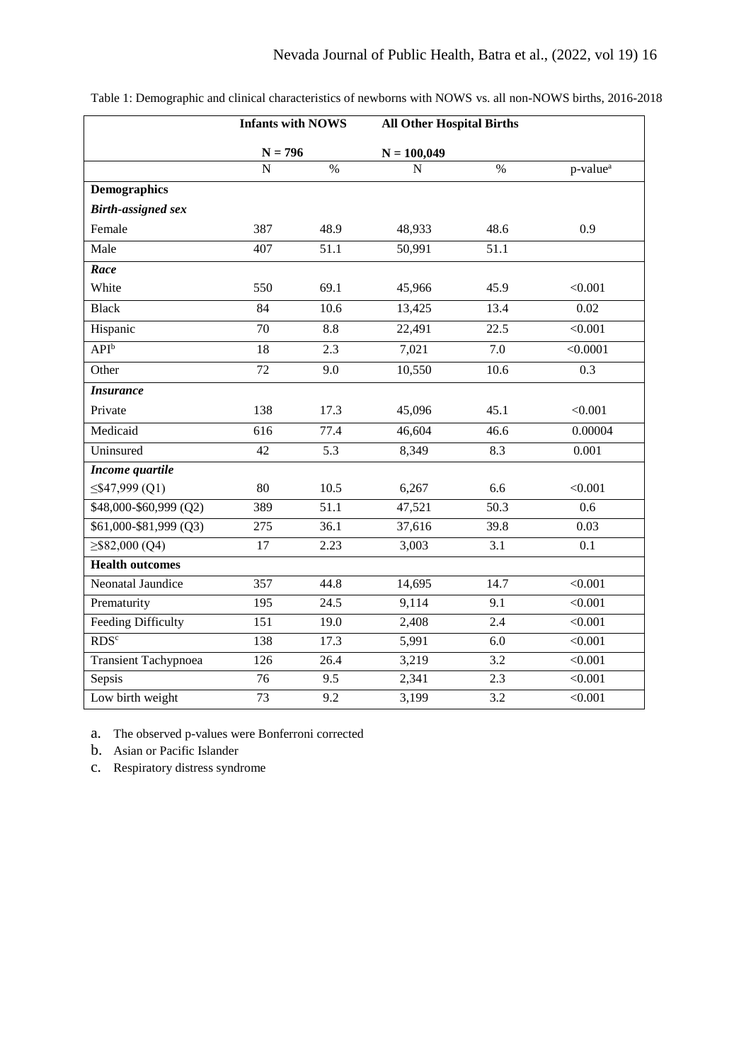|                             | <b>Infants with NOWS</b> |      | <b>All Other Hospital Births</b> |      |                      |
|-----------------------------|--------------------------|------|----------------------------------|------|----------------------|
|                             | $N = 796$                |      | $N = 100,049$                    |      |                      |
|                             | N                        | $\%$ | $\mathbf N$                      | $\%$ | p-value <sup>a</sup> |
| <b>Demographics</b>         |                          |      |                                  |      |                      |
| <b>Birth-assigned sex</b>   |                          |      |                                  |      |                      |
| Female                      | 387                      | 48.9 | 48,933                           | 48.6 | 0.9                  |
| Male                        | 407                      | 51.1 | 50,991                           | 51.1 |                      |
| Race                        |                          |      |                                  |      |                      |
| White                       | 550                      | 69.1 | 45,966                           | 45.9 | < 0.001              |
| <b>Black</b>                | 84                       | 10.6 | 13,425                           | 13.4 | 0.02                 |
| Hispanic                    | 70                       | 8.8  | 22,491                           | 22.5 | < 0.001              |
| <b>API</b> <sup>b</sup>     | 18                       | 2.3  | 7,021                            | 7.0  | < 0.0001             |
| Other                       | 72                       | 9.0  | 10,550                           | 10.6 | 0.3                  |
| <b>Insurance</b>            |                          |      |                                  |      |                      |
| Private                     | 138                      | 17.3 | 45,096                           | 45.1 | < 0.001              |
| Medicaid                    | 616                      | 77.4 | 46,604                           | 46.6 | 0.00004              |
| Uninsured                   | 42                       | 5.3  | 8,349                            | 8.3  | 0.001                |
| Income quartile             |                          |      |                                  |      |                      |
| $\leq$ \$47,999 (Q1)        | 80                       | 10.5 | 6,267                            | 6.6  | < 0.001              |
| \$48,000-\$60,999 (Q2)      | 389                      | 51.1 | 47,521                           | 50.3 | 0.6                  |
| \$61,000-\$81,999 (Q3)      | 275                      | 36.1 | 37,616                           | 39.8 | 0.03                 |
| $\geq$ \$82,000 (Q4)        | 17                       | 2.23 | 3,003                            | 3.1  | 0.1                  |
| <b>Health outcomes</b>      |                          |      |                                  |      |                      |
| Neonatal Jaundice           | 357                      | 44.8 | 14,695                           | 14.7 | < 0.001              |
| Prematurity                 | 195                      | 24.5 | 9,114                            | 9.1  | < 0.001              |
| <b>Feeding Difficulty</b>   | 151                      | 19.0 | 2,408                            | 2.4  | < 0.001              |
| RDS <sup>c</sup>            | 138                      | 17.3 | 5,991                            | 6.0  | < 0.001              |
| <b>Transient Tachypnoea</b> | 126                      | 26.4 | 3,219                            | 3.2  | < 0.001              |
| Sepsis                      | 76                       | 9.5  | 2,341                            | 2.3  | < 0.001              |
| Low birth weight            | 73                       | 9.2  | 3,199                            | 3.2  | < 0.001              |

Table 1: Demographic and clinical characteristics of newborns with NOWS vs. all non-NOWS births, 2016-2018

a. The observed p-values were Bonferroni corrected

b. Asian or Pacific Islander

c. Respiratory distress syndrome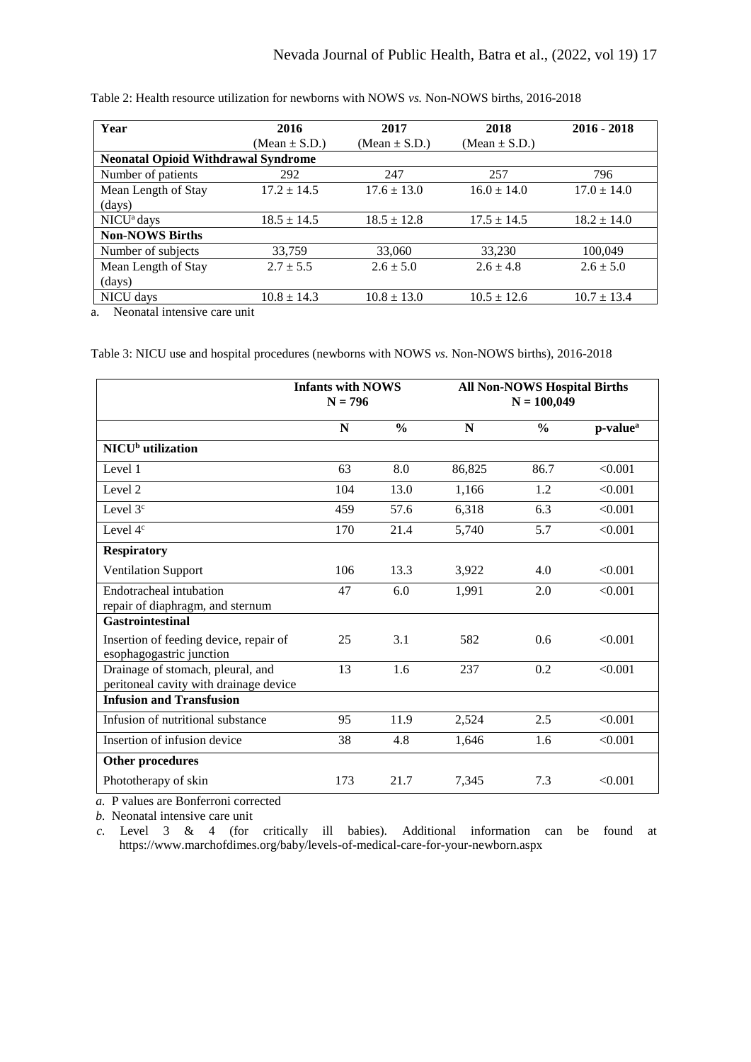| Year                                       | 2016              | 2017              | 2018              | $2016 - 2018$   |
|--------------------------------------------|-------------------|-------------------|-------------------|-----------------|
|                                            | (Mean $\pm$ S.D.) | (Mean $\pm$ S.D.) | (Mean $\pm$ S.D.) |                 |
| <b>Neonatal Opioid Withdrawal Syndrome</b> |                   |                   |                   |                 |
| Number of patients                         | 292               | 247               | 257               | 796             |
| Mean Length of Stay                        | $17.2 \pm 14.5$   | $17.6 \pm 13.0$   | $16.0 \pm 14.0$   | $17.0 \pm 14.0$ |
| (days)                                     |                   |                   |                   |                 |
| $NICUa$ days                               | $18.5 \pm 14.5$   | $18.5 \pm 12.8$   | $17.5 \pm 14.5$   | $18.2 \pm 14.0$ |
| <b>Non-NOWS Births</b>                     |                   |                   |                   |                 |
| Number of subjects                         | 33,759            | 33,060            | 33,230            | 100,049         |
| Mean Length of Stay                        | $2.7 + 5.5$       | $2.6 \pm 5.0$     | $2.6 \pm 4.8$     | $2.6 \pm 5.0$   |
| (days)                                     |                   |                   |                   |                 |
| NICU days                                  | $10.8 \pm 14.3$   | $10.8 \pm 13.0$   | $10.5 \pm 12.6$   | $10.7 \pm 13.4$ |

Table 2: Health resource utilization for newborns with NOWS *vs.* Non-NOWS births, 2016-2018

a. Neonatal intensive care unit

Table 3: NICU use and hospital procedures (newborns with NOWS *vs.* Non-NOWS births), 2016-2018

|                                                                             | $N = 796$ | <b>Infants with NOWS</b> |        | <b>All Non-NOWS Hospital Births</b><br>$N = 100,049$ |                      |
|-----------------------------------------------------------------------------|-----------|--------------------------|--------|------------------------------------------------------|----------------------|
|                                                                             | N         | $\frac{0}{0}$            | N      | $\frac{0}{0}$                                        | p-value <sup>a</sup> |
| NICU <sup>b</sup> utilization                                               |           |                          |        |                                                      |                      |
| Level 1                                                                     | 63        | 8.0                      | 86,825 | 86.7                                                 | < 0.001              |
| Level 2                                                                     | 104       | 13.0                     | 1,166  | 1.2                                                  | < 0.001              |
| Level $3c$                                                                  | 459       | 57.6                     | 6,318  | 6.3                                                  | < 0.001              |
| Level 4 <sup>c</sup>                                                        | 170       | 21.4                     | 5,740  | 5.7                                                  | < 0.001              |
| <b>Respiratory</b>                                                          |           |                          |        |                                                      |                      |
| <b>Ventilation Support</b>                                                  | 106       | 13.3                     | 3,922  | 4.0                                                  | < 0.001              |
| Endotracheal intubation<br>repair of diaphragm, and sternum                 | 47        | 6.0                      | 1,991  | 2.0                                                  | < 0.001              |
| <b>Gastrointestinal</b>                                                     |           |                          |        |                                                      |                      |
| Insertion of feeding device, repair of<br>esophagogastric junction          | 25        | 3.1                      | 582    | 0.6                                                  | < 0.001              |
| Drainage of stomach, pleural, and<br>peritoneal cavity with drainage device | 13        | 1.6                      | 237    | 0.2                                                  | < 0.001              |
| <b>Infusion and Transfusion</b>                                             |           |                          |        |                                                      |                      |
| Infusion of nutritional substance                                           | 95        | 11.9                     | 2,524  | 2.5                                                  | < 0.001              |
| Insertion of infusion device                                                | 38        | 4.8                      | 1,646  | 1.6                                                  | < 0.001              |
| Other procedures                                                            |           |                          |        |                                                      |                      |
| Phototherapy of skin                                                        | 173       | 21.7                     | 7,345  | 7.3                                                  | < 0.001              |

*a.* P values are Bonferroni corrected

*b.* Neonatal intensive care unit

*c.* Level 3 & 4 (for critically ill babies). Additional information can be found at https://www.marchofdimes.org/baby/levels-of-medical-care-for-your-newborn.aspx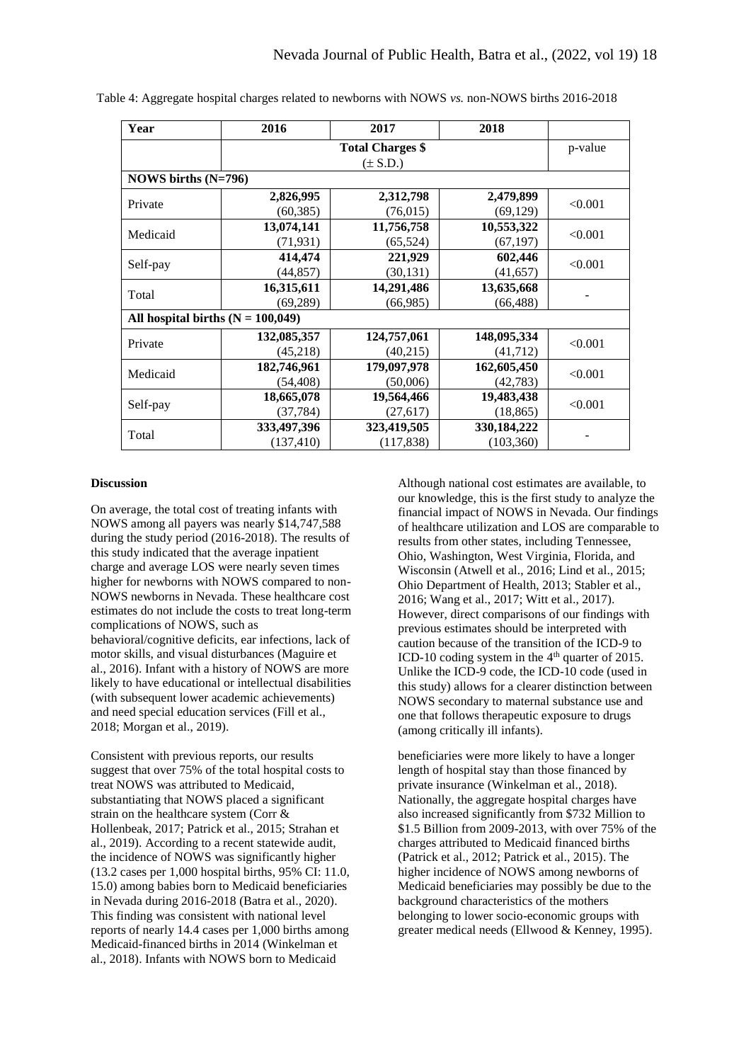| Year                                | 2016        | 2017                    | 2018          |         |  |
|-------------------------------------|-------------|-------------------------|---------------|---------|--|
|                                     |             | <b>Total Charges \$</b> |               | p-value |  |
|                                     |             | $(\pm S.D.)$            |               |         |  |
| NOWS births $(N=796)$               |             |                         |               |         |  |
|                                     | 2,826,995   | 2,312,798               | 2,479,899     |         |  |
| Private                             | (60, 385)   | (76, 015)               | (69, 129)     | < 0.001 |  |
| Medicaid                            | 13,074,141  | 11,756,758              | 10,553,322    |         |  |
|                                     | (71, 931)   | (65, 524)               | (67, 197)     | < 0.001 |  |
|                                     | 414,474     | 221,929                 | 602,446       | < 0.001 |  |
| Self-pay                            | (44, 857)   | (30, 131)               | (41, 657)     |         |  |
| Total                               | 16,315,611  | 14,291,486              | 13,635,668    |         |  |
|                                     | (69, 289)   | (66,985)                | (66, 488)     |         |  |
| All hospital births $(N = 100,049)$ |             |                         |               |         |  |
| Private                             | 132,085,357 | 124,757,061             | 148,095,334   |         |  |
|                                     | (45,218)    | (40,215)                | (41, 712)     | < 0.001 |  |
| Medicaid                            | 182,746,961 | 179,097,978             | 162,605,450   | < 0.001 |  |
|                                     | (54, 408)   | (50,006)                | (42, 783)     |         |  |
|                                     | 18,665,078  | 19,564,466              | 19,483,438    |         |  |
| Self-pay                            | (37, 784)   | (27, 617)               | (18, 865)     | < 0.001 |  |
| Total                               | 333,497,396 | 323,419,505             | 330, 184, 222 |         |  |
|                                     | (137, 410)  | (117, 838)              | (103, 360)    |         |  |

Table 4: Aggregate hospital charges related to newborns with NOWS *vs.* non-NOWS births 2016-2018

## **Discussion**

On average, the total cost of treating infants with NOWS among all payers was nearly \$14,747,588 during the study period (2016-2018). The results of this study indicated that the average inpatient charge and average LOS were nearly seven times higher for newborns with NOWS compared to non-NOWS newborns in Nevada. These healthcare cost estimates do not include the costs to treat long-term complications of NOWS, such as behavioral/cognitive deficits, ear infections, lack of motor skills, and visual disturbances (Maguire et al., 2016). Infant with a history of NOWS are more likely to have educational or intellectual disabilities (with subsequent lower academic achievements) and need special education services (Fill et al., 2018; Morgan et al., 2019).

Consistent with previous reports, our results suggest that over 75% of the total hospital costs to treat NOWS was attributed to Medicaid, substantiating that NOWS placed a significant strain on the healthcare system (Corr & Hollenbeak, 2017; Patrick et al., 2015; Strahan et al., 2019). According to a recent statewide audit, the incidence of NOWS was significantly higher (13.2 cases per 1,000 hospital births, 95% CI: 11.0, 15.0) among babies born to Medicaid beneficiaries in Nevada during 2016-2018 (Batra et al., 2020). This finding was consistent with national level reports of nearly 14.4 cases per 1,000 births among Medicaid-financed births in 2014 (Winkelman et al., 2018). Infants with NOWS born to Medicaid

Although national cost estimates are available, to our knowledge, this is the first study to analyze the financial impact of NOWS in Nevada. Our findings of healthcare utilization and LOS are comparable to results from other states, including Tennessee, Ohio, Washington, West Virginia, Florida, and Wisconsin (Atwell et al., 2016; Lind et al., 2015; Ohio Department of Health, 2013; Stabler et al., 2016; Wang et al., 2017; Witt et al., 2017). However, direct comparisons of our findings with previous estimates should be interpreted with caution because of the transition of the ICD-9 to ICD-10 coding system in the  $4<sup>th</sup>$  quarter of 2015. Unlike the ICD-9 code, the ICD-10 code (used in this study) allows for a clearer distinction between NOWS secondary to maternal substance use and one that follows therapeutic exposure to drugs (among critically ill infants).

beneficiaries were more likely to have a longer length of hospital stay than those financed by private insurance (Winkelman et al., 2018). Nationally, the aggregate hospital charges have also increased significantly from \$732 Million to \$1.5 Billion from 2009-2013, with over 75% of the charges attributed to Medicaid financed births (Patrick et al., 2012; Patrick et al., 2015). The higher incidence of NOWS among newborns of Medicaid beneficiaries may possibly be due to the background characteristics of the mothers belonging to lower socio-economic groups with greater medical needs (Ellwood & Kenney, 1995).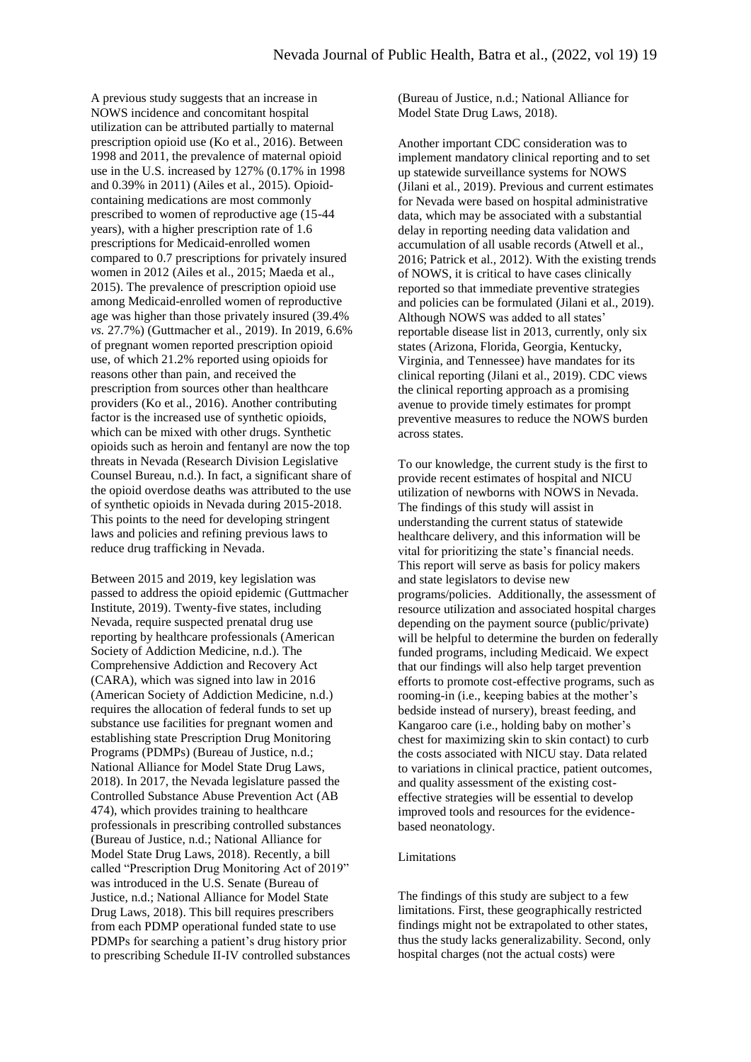A previous study suggests that an increase in NOWS incidence and concomitant hospital utilization can be attributed partially to maternal prescription opioid use (Ko et al., 2016). Between 1998 and 2011, the prevalence of maternal opioid use in the U.S. increased by 127% (0.17% in 1998 and 0.39% in 2011) (Ailes et al., 2015). Opioidcontaining medications are most commonly prescribed to women of reproductive age (15-44 years), with a higher prescription rate of 1.6 prescriptions for Medicaid-enrolled women compared to 0.7 prescriptions for privately insured women in 2012 (Ailes et al., 2015; Maeda et al., 2015). The prevalence of prescription opioid use among Medicaid-enrolled women of reproductive age was higher than those privately insured (39.4% *vs.* 27.7%) (Guttmacher et al., 2019). In 2019, 6.6% of pregnant women reported prescription opioid use, of which 21.2% reported using opioids for reasons other than pain, and received the prescription from sources other than healthcare providers (Ko et al., 2016). Another contributing factor is the increased use of synthetic opioids, which can be mixed with other drugs. Synthetic opioids such as heroin and fentanyl are now the top threats in Nevada (Research Division Legislative Counsel Bureau, n.d.). In fact, a significant share of the opioid overdose deaths was attributed to the use of synthetic opioids in Nevada during 2015-2018. This points to the need for developing stringent laws and policies and refining previous laws to reduce drug trafficking in Nevada.

Between 2015 and 2019, key legislation was passed to address the opioid epidemic (Guttmacher Institute, 2019). Twenty-five states, including Nevada, require suspected prenatal drug use reporting by healthcare professionals (American Society of Addiction Medicine, n.d.). The Comprehensive Addiction and Recovery Act (CARA), which was signed into law in 2016 (American Society of Addiction Medicine, n.d.) requires the allocation of federal funds to set up substance use facilities for pregnant women and establishing state Prescription Drug Monitoring Programs (PDMPs) (Bureau of Justice, n.d.; National Alliance for Model State Drug Laws, 2018). In 2017, the Nevada legislature passed the Controlled Substance Abuse Prevention Act (AB 474), which provides training to healthcare professionals in prescribing controlled substances (Bureau of Justice, n.d.; National Alliance for Model State Drug Laws, 2018). Recently, a bill called "Prescription Drug Monitoring Act of 2019" was introduced in the U.S. Senate (Bureau of Justice, n.d.; National Alliance for Model State Drug Laws, 2018). This bill requires prescribers from each PDMP operational funded state to use PDMPs for searching a patient's drug history prior to prescribing Schedule II-IV controlled substances (Bureau of Justice, n.d.; National Alliance for Model State Drug Laws, 2018).

Another important CDC consideration was to implement mandatory clinical reporting and to set up statewide surveillance systems for NOWS (Jilani et al., 2019). Previous and current estimates for Nevada were based on hospital administrative data, which may be associated with a substantial delay in reporting needing data validation and accumulation of all usable records (Atwell et al., 2016; Patrick et al., 2012). With the existing trends of NOWS, it is critical to have cases clinically reported so that immediate preventive strategies and policies can be formulated (Jilani et al., 2019). Although NOWS was added to all states' reportable disease list in 2013, currently, only six states (Arizona, Florida, Georgia, Kentucky, Virginia, and Tennessee) have mandates for its clinical reporting (Jilani et al., 2019). CDC views the clinical reporting approach as a promising avenue to provide timely estimates for prompt preventive measures to reduce the NOWS burden across states.

To our knowledge, the current study is the first to provide recent estimates of hospital and NICU utilization of newborns with NOWS in Nevada. The findings of this study will assist in understanding the current status of statewide healthcare delivery, and this information will be vital for prioritizing the state's financial needs. This report will serve as basis for policy makers and state legislators to devise new programs/policies. Additionally, the assessment of resource utilization and associated hospital charges depending on the payment source (public/private) will be helpful to determine the burden on federally funded programs, including Medicaid. We expect that our findings will also help target prevention efforts to promote cost-effective programs, such as rooming-in (i.e., keeping babies at the mother's bedside instead of nursery), breast feeding, and Kangaroo care (i.e., holding baby on mother's chest for maximizing skin to skin contact) to curb the costs associated with NICU stay. Data related to variations in clinical practice, patient outcomes, and quality assessment of the existing costeffective strategies will be essential to develop improved tools and resources for the evidencebased neonatology.

## Limitations

The findings of this study are subject to a few limitations. First, these geographically restricted findings might not be extrapolated to other states, thus the study lacks generalizability. Second, only hospital charges (not the actual costs) were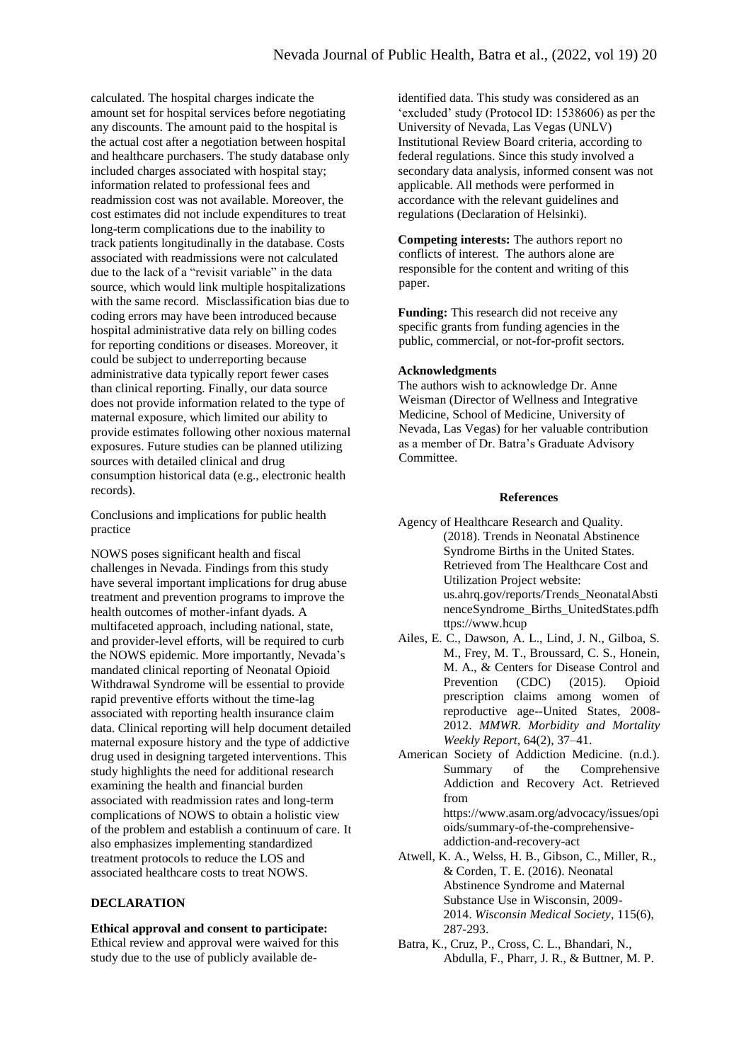calculated. The hospital charges indicate the amount set for hospital services before negotiating any discounts. The amount paid to the hospital is the actual cost after a negotiation between hospital and healthcare purchasers. The study database only included charges associated with hospital stay; information related to professional fees and readmission cost was not available. Moreover, the cost estimates did not include expenditures to treat long-term complications due to the inability to track patients longitudinally in the database. Costs associated with readmissions were not calculated due to the lack of a "revisit variable" in the data source, which would link multiple hospitalizations with the same record. Misclassification bias due to coding errors may have been introduced because hospital administrative data rely on billing codes for reporting conditions or diseases. Moreover, it could be subject to underreporting because administrative data typically report fewer cases than clinical reporting. Finally, our data source does not provide information related to the type of maternal exposure, which limited our ability to provide estimates following other noxious maternal exposures. Future studies can be planned utilizing sources with detailed clinical and drug consumption historical data (e.g., electronic health records).

Conclusions and implications for public health practice

NOWS poses significant health and fiscal challenges in Nevada. Findings from this study have several important implications for drug abuse treatment and prevention programs to improve the health outcomes of mother-infant dyads. A multifaceted approach, including national, state, and provider-level efforts, will be required to curb the NOWS epidemic. More importantly, Nevada's mandated clinical reporting of Neonatal Opioid Withdrawal Syndrome will be essential to provide rapid preventive efforts without the time-lag associated with reporting health insurance claim data. Clinical reporting will help document detailed maternal exposure history and the type of addictive drug used in designing targeted interventions. This study highlights the need for additional research examining the health and financial burden associated with readmission rates and long-term complications of NOWS to obtain a holistic view of the problem and establish a continuum of care. It also emphasizes implementing standardized treatment protocols to reduce the LOS and associated healthcare costs to treat NOWS.

# **DECLARATION**

**Ethical approval and consent to participate:**  Ethical review and approval were waived for this study due to the use of publicly available deidentified data. This study was considered as an 'excluded' study (Protocol ID: 1538606) as per the University of Nevada, Las Vegas (UNLV) Institutional Review Board criteria, according to federal regulations. Since this study involved a secondary data analysis, informed consent was not applicable. All methods were performed in accordance with the relevant guidelines and regulations (Declaration of Helsinki).

**Competing interests:** The authors report no conflicts of interest. The authors alone are responsible for the content and writing of this paper.

**Funding:** This research did not receive any specific grants from funding agencies in the public, commercial, or not-for-profit sectors.

#### **Acknowledgments**

The authors wish to acknowledge Dr. Anne Weisman (Director of Wellness and Integrative Medicine, School of Medicine, University of Nevada, Las Vegas) for her valuable contribution as a member of Dr. Batra's Graduate Advisory Committee.

#### **References**

- Agency of Healthcare Research and Quality. (2018). Trends in Neonatal Abstinence Syndrome Births in the United States. Retrieved from The Healthcare Cost and Utilization Project website: us.ahrq.gov/reports/Trends\_NeonatalAbsti nenceSyndrome\_Births\_UnitedStates.pdfh ttps://www.hcup
- Ailes, E. C., Dawson, A. L., Lind, J. N., Gilboa, S. M., Frey, M. T., Broussard, C. S., Honein, M. A., & Centers for Disease Control and Prevention (CDC) (2015). Opioid prescription claims among women of reproductive age--United States, 2008- 2012. *MMWR. Morbidity and Mortality Weekly Report*, 64(2), 37–41.
- American Society of Addiction Medicine. (n.d.). Summary of the Comprehensive Addiction and Recovery Act. Retrieved from [https://www.asam.org/advocacy/issues/opi](https://www.asam.org/advocacy/issues/opioids/summary-of-the-comprehensive-addiction-and-recovery-act) [oids/summary-of-the-comprehensive](https://www.asam.org/advocacy/issues/opioids/summary-of-the-comprehensive-addiction-and-recovery-act)[addiction-and-recovery-act](https://www.asam.org/advocacy/issues/opioids/summary-of-the-comprehensive-addiction-and-recovery-act)
- Atwell, K. A., Welss, H. B., Gibson, C., Miller, R., & Corden, T. E. (2016). Neonatal Abstinence Syndrome and Maternal Substance Use in Wisconsin, 2009- 2014. *Wisconsin Medical Society*, 115(6), 287-293.
- Batra, K., Cruz, P., Cross, C. L., Bhandari, N., Abdulla, F., Pharr, J. R., & Buttner, M. P.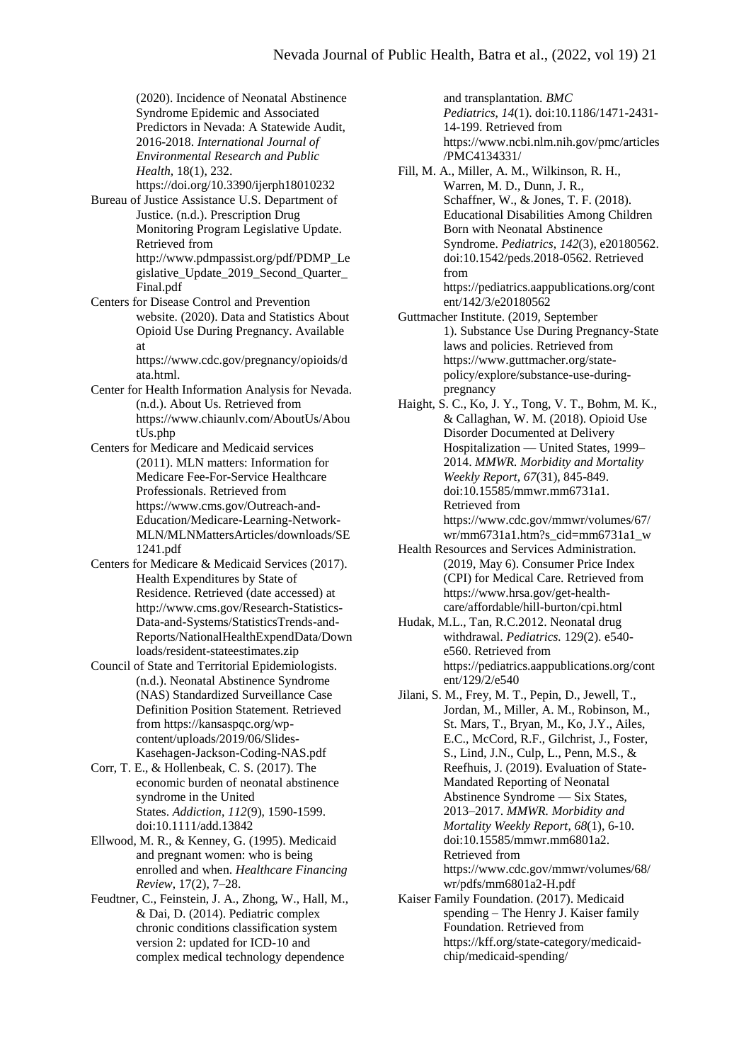(2020). Incidence of Neonatal Abstinence Syndrome Epidemic and Associated Predictors in Nevada: A Statewide Audit, 2016-2018. *International Journal of Environmental Research and Public Health,* 18(1), 232. <https://doi.org/10.3390/ijerph18010232>

Bureau of Justice Assistance U.S. Department of Justice. (n.d.). Prescription Drug

Monitoring Program Legislative Update. Retrieved from [http://www.pdmpassist.org/pdf/PDMP\\_Le](http://www.pdmpassist.org/pdf/PDMP_Legislative_Update_2019_Second_Quarter_Final.pdf) [gislative\\_Update\\_2019\\_Second\\_Quarter\\_](http://www.pdmpassist.org/pdf/PDMP_Legislative_Update_2019_Second_Quarter_Final.pdf)

[Final.pdf](http://www.pdmpassist.org/pdf/PDMP_Legislative_Update_2019_Second_Quarter_Final.pdf) Centers for Disease Control and Prevention website. (2020). Data and Statistics About Opioid Use During Pregnancy. Available at

https://www.cdc.gov/pregnancy/opioids/d ata.html.

- Center for Health Information Analysis for Nevada. (n.d.). About Us. Retrieved from [https://www.chiaunlv.com/AboutUs/Abou](https://www.chiaunlv.com/AboutUs/AboutUs.php) [tUs.php](https://www.chiaunlv.com/AboutUs/AboutUs.php)
- Centers for Medicare and Medicaid services (2011). MLN matters: Information for Medicare Fee-For-Service Healthcare Professionals. Retrieved from [https://www.cms.gov/Outreach-and-](https://www.cms.gov/Outreach-and-Education/Medicare-Learning-Network-MLN/MLNMattersArticles/downloads/SE1241.pdf)[Education/Medicare-Learning-Network-](https://www.cms.gov/Outreach-and-Education/Medicare-Learning-Network-MLN/MLNMattersArticles/downloads/SE1241.pdf)[MLN/MLNMattersArticles/downloads/SE](https://www.cms.gov/Outreach-and-Education/Medicare-Learning-Network-MLN/MLNMattersArticles/downloads/SE1241.pdf) [1241.pdf](https://www.cms.gov/Outreach-and-Education/Medicare-Learning-Network-MLN/MLNMattersArticles/downloads/SE1241.pdf)
- Centers for Medicare & Medicaid Services (2017). Health Expenditures by State of Residence. Retrieved (date accessed) at http://www.cms.gov/Research-Statistics-Data-and-Systems/StatisticsTrends-and-Reports/NationalHealthExpendData/Down loads/resident-stateestimates.zip

Council of State and Territorial Epidemiologists. (n.d.). Neonatal Abstinence Syndrome (NAS) Standardized Surveillance Case Definition Position Statement. Retrieved from [https://kansaspqc.org/wp](https://kansaspqc.org/wp-content/uploads/2019/06/Slides-Kasehagen-Jackson-Coding-NAS.pdf)[content/uploads/2019/06/Slides-](https://kansaspqc.org/wp-content/uploads/2019/06/Slides-Kasehagen-Jackson-Coding-NAS.pdf)[Kasehagen-Jackson-Coding-NAS.pdf](https://kansaspqc.org/wp-content/uploads/2019/06/Slides-Kasehagen-Jackson-Coding-NAS.pdf)

Corr, T. E., & Hollenbeak, C. S. (2017). The economic burden of neonatal abstinence syndrome in the United States. *Addiction*, *112*(9), 1590-1599. doi:10.1111/add.13842

Ellwood, M. R., & Kenney, G. (1995). Medicaid and pregnant women: who is being enrolled and when. *Healthcare Financing Review*, 17(2), 7–28.

Feudtner, C., Feinstein, J. A., Zhong, W., Hall, M., & Dai, D. (2014). Pediatric complex chronic conditions classification system version 2: updated for ICD-10 and complex medical technology dependence

and transplantation. *BMC Pediatrics*, *14*(1). doi:10.1186/1471-2431- 14-199. Retrieved from [https://www.ncbi.nlm.nih.gov/pmc/articles](https://www.ncbi.nlm.nih.gov/pmc/articles/PMC4134331/) [/PMC4134331/](https://www.ncbi.nlm.nih.gov/pmc/articles/PMC4134331/)

Fill, M. A., Miller, A. M., Wilkinson, R. H., Warren, M. D., Dunn, J. R., Schaffner, W., & Jones, T. F. (2018). Educational Disabilities Among Children Born with Neonatal Abstinence Syndrome. *Pediatrics*, *142*(3), e20180562. doi:10.1542/peds.2018-0562. Retrieved from [https://pediatrics.aappublications.org/cont](https://pediatrics.aappublications.org/content/142/3/e20180562) [ent/142/3/e20180562](https://pediatrics.aappublications.org/content/142/3/e20180562)

Guttmacher Institute. (2019, September 1). Substance Use During Pregnancy-State laws and policies. Retrieved from [https://www.guttmacher.org/state](https://www.guttmacher.org/state-policy/explore/substance-use-during-pregnancy)[policy/explore/substance-use-during](https://www.guttmacher.org/state-policy/explore/substance-use-during-pregnancy)[pregnancy](https://www.guttmacher.org/state-policy/explore/substance-use-during-pregnancy)

- Haight, S. C., Ko, J. Y., Tong, V. T., Bohm, M. K., & Callaghan, W. M. (2018). Opioid Use Disorder Documented at Delivery Hospitalization — United States, 1999– 2014. *MMWR. Morbidity and Mortality Weekly Report*, *67*(31), 845-849. doi:10.15585/mmwr.mm6731a1. Retrieved from [https://www.cdc.gov/mmwr/volumes/67/](https://www.cdc.gov/mmwr/volumes/67/wr/mm6731a1.htm?s_cid=mm6731a1_w) [wr/mm6731a1.htm?s\\_cid=mm6731a1\\_w](https://www.cdc.gov/mmwr/volumes/67/wr/mm6731a1.htm?s_cid=mm6731a1_w)
- Health Resources and Services Administration. (2019, May 6). Consumer Price Index (CPI) for Medical Care. Retrieved from [https://www.hrsa.gov/get-health](https://www.hrsa.gov/get-health-care/affordable/hill-burton/cpi.html)[care/affordable/hill-burton/cpi.html](https://www.hrsa.gov/get-health-care/affordable/hill-burton/cpi.html)

Hudak, M.L., Tan, R.C.2012. Neonatal drug withdrawal. *Pediatrics.* 129(2). e540 e560. Retrieved from [https://pediatrics.aappublications.org/cont](https://pediatrics.aappublications.org/content/129/2/e540) [ent/129/2/e540](https://pediatrics.aappublications.org/content/129/2/e540)

- Jilani, S. M., Frey, M. T., Pepin, D., Jewell, T., Jordan, M., Miller, A. M., Robinson, M., St. Mars, T., Bryan, M., Ko, J.Y., Ailes, E.C., McCord, R.F., Gilchrist, J., Foster, S., Lind, J.N., Culp, L., Penn, M.S., & Reefhuis, J. (2019). Evaluation of State-Mandated Reporting of Neonatal Abstinence Syndrome — Six States, 2013–2017. *MMWR. Morbidity and Mortality Weekly Report*, *68*(1), 6-10. doi:10.15585/mmwr.mm6801a2. Retrieved from [https://www.cdc.gov/mmwr/volumes/68/](https://www.cdc.gov/mmwr/volumes/68/wr/pdfs/mm6801a2-H.pdf) [wr/pdfs/mm6801a2-H.pdf](https://www.cdc.gov/mmwr/volumes/68/wr/pdfs/mm6801a2-H.pdf)
- Kaiser Family Foundation. (2017). Medicaid spending – The Henry J. Kaiser family Foundation. Retrieved from https://kff.org/state-category/medicaidchip/medicaid-spending/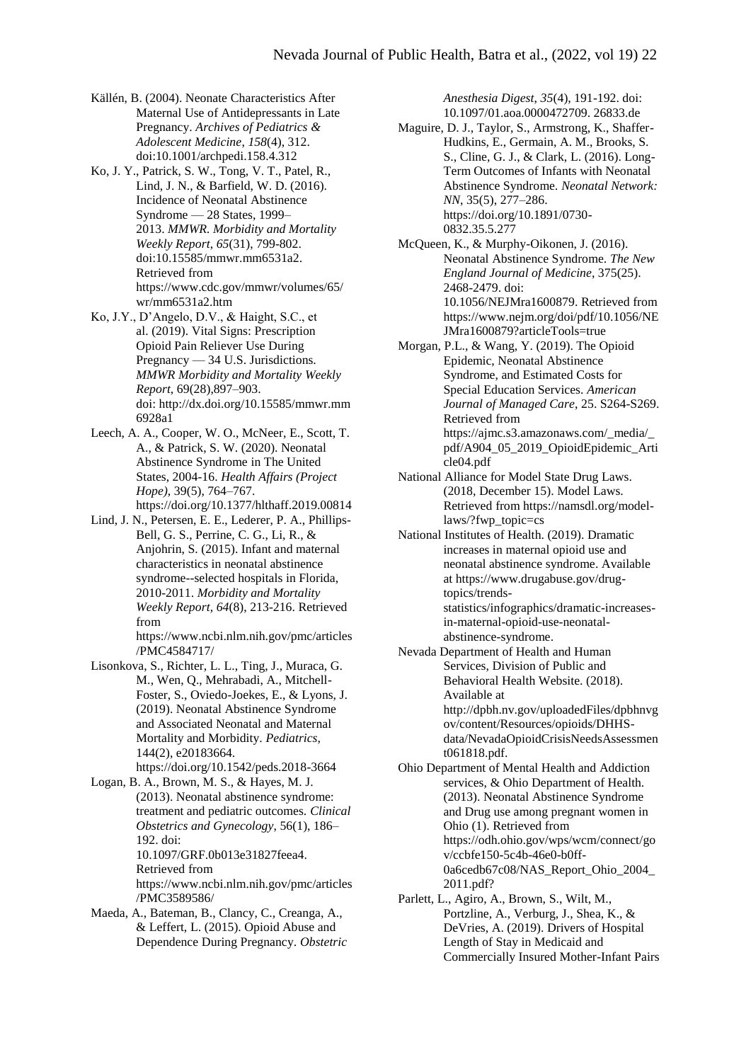- Källén, B. (2004). Neonate Characteristics After Maternal Use of Antidepressants in Late Pregnancy. *Archives of Pediatrics & Adolescent Medicine*, *158*(4), 312. doi:10.1001/archpedi.158.4.312
- Ko, J. Y., Patrick, S. W., Tong, V. T., Patel, R., Lind, J. N., & Barfield, W. D. (2016). Incidence of Neonatal Abstinence Syndrome — 28 States, 1999– 2013. *MMWR. Morbidity and Mortality Weekly Report*, *65*(31), 799-802. doi:10.15585/mmwr.mm6531a2. Retrieved from [https://www.cdc.gov/mmwr/volumes/65/](https://www.cdc.gov/mmwr/volumes/65/wr/mm6531a2.htm) [wr/mm6531a2.htm](https://www.cdc.gov/mmwr/volumes/65/wr/mm6531a2.htm)
- Ko, J.Y., D'Angelo, D.V., & Haight, S.C., et al. (2019). Vital Signs: Prescription Opioid Pain Reliever Use During Pregnancy — 34 U.S. Jurisdictions. *MMWR Morbidity and Mortality Weekly Report*, 69(28),897–903. doi: [http://dx.doi.org/10.15585/mmwr.mm](http://dx.doi.org/10.15585/mmwr.mm6928a1) [6928a1](http://dx.doi.org/10.15585/mmwr.mm6928a1)
- Leech, A. A., Cooper, W. O., McNeer, E., Scott, T. A., & Patrick, S. W. (2020). Neonatal Abstinence Syndrome in The United States, 2004-16. *Health Affairs (Project Hope)*, 39(5), 764–767. <https://doi.org/10.1377/hlthaff.2019.00814>
- Lind, J. N., Petersen, E. E., Lederer, P. A., Phillips-Bell, G. S., Perrine, C. G., Li, R., & Anjohrin, S. (2015). Infant and maternal characteristics in neonatal abstinence syndrome--selected hospitals in Florida, 2010-2011. *Morbidity and Mortality Weekly Report*, *64*(8), 213-216. Retrieved from

[https://www.ncbi.nlm.nih.gov/pmc/articles](https://www.ncbi.nlm.nih.gov/pmc/articles/PMC4584717/) [/PMC4584717/](https://www.ncbi.nlm.nih.gov/pmc/articles/PMC4584717/)

- Lisonkova, S., Richter, L. L., Ting, J., Muraca, G. M., Wen, Q., Mehrabadi, A., Mitchell-Foster, S., Oviedo-Joekes, E., & Lyons, J. (2019). Neonatal Abstinence Syndrome and Associated Neonatal and Maternal Mortality and Morbidity. *Pediatrics*, 144(2), e20183664. https://doi.org/10.1542/peds.2018-3664
- Logan, B. A., Brown, M. S., & Hayes, M. J. (2013). Neonatal abstinence syndrome: treatment and pediatric outcomes. *Clinical Obstetrics and Gynecology*, 56(1), 186– 192. doi: 10.1097/GRF.0b013e31827feea4. Retrieved from [https://www.ncbi.nlm.nih.gov/pmc/articles](https://www.ncbi.nlm.nih.gov/pmc/articles/PMC3589586/) [/PMC3589586/](https://www.ncbi.nlm.nih.gov/pmc/articles/PMC3589586/)
- Maeda, A., Bateman, B., Clancy, C., Creanga, A., & Leffert, L. (2015). Opioid Abuse and Dependence During Pregnancy. *Obstetric*

*Anesthesia Digest*, *35*(4), 191-192. doi: 10.1097/01.aoa.0000472709. 26833.de

- Maguire, D. J., Taylor, S., Armstrong, K., Shaffer-Hudkins, E., Germain, A. M., Brooks, S. S., Cline, G. J., & Clark, L. (2016). Long-Term Outcomes of Infants with Neonatal Abstinence Syndrome. *Neonatal Network: NN*, 35(5), 277–286. https://doi.org/10.1891/0730- 0832.35.5.277
- McQueen, K., & Murphy-Oikonen, J. (2016). Neonatal Abstinence Syndrome. *The New England Journal of Medicine*, 375(25). 2468-2479. doi: 10.1056/NEJMra1600879. Retrieved from [https://www.nejm.org/doi/pdf/10.1056/NE](https://www.nejm.org/doi/pdf/10.1056/NEJMra1600879?articleTools=true) [JMra1600879?articleTools=true](https://www.nejm.org/doi/pdf/10.1056/NEJMra1600879?articleTools=true)
- Morgan, P.L., & Wang, Y. (2019). The Opioid Epidemic, Neonatal Abstinence Syndrome, and Estimated Costs for Special Education Services. *American Journal of Managed Care*, 25. S264-S269. Retrieved from [https://ajmc.s3.amazonaws.com/\\_media/\\_](https://ajmc.s3.amazonaws.com/_media/_pdf/A904_05_2019_OpioidEpidemic_Article04.pdf) [pdf/A904\\_05\\_2019\\_OpioidEpidemic\\_Arti](https://ajmc.s3.amazonaws.com/_media/_pdf/A904_05_2019_OpioidEpidemic_Article04.pdf) [cle04.pdf](https://ajmc.s3.amazonaws.com/_media/_pdf/A904_05_2019_OpioidEpidemic_Article04.pdf)
- National Alliance for Model State Drug Laws. (2018, December 15). Model Laws. Retrieved from [https://namsdl.org/model](https://namsdl.org/model-laws/?fwp_topic=cs)[laws/?fwp\\_topic=cs](https://namsdl.org/model-laws/?fwp_topic=cs)
- National Institutes of Health. (2019). Dramatic increases in maternal opioid use and neonatal abstinence syndrome. Available at [https://www.drugabuse.gov/drug](https://www.drugabuse.gov/drug-topics/trends-statistics/infographics/dramatic-increases-in-maternal-opioid-use-neonatal-abstinence-syndrome)[topics/trends](https://www.drugabuse.gov/drug-topics/trends-statistics/infographics/dramatic-increases-in-maternal-opioid-use-neonatal-abstinence-syndrome)[statistics/infographics/dramatic-increases](https://www.drugabuse.gov/drug-topics/trends-statistics/infographics/dramatic-increases-in-maternal-opioid-use-neonatal-abstinence-syndrome)[in-maternal-opioid-use-neonatal](https://www.drugabuse.gov/drug-topics/trends-statistics/infographics/dramatic-increases-in-maternal-opioid-use-neonatal-abstinence-syndrome)[abstinence-syndrome.](https://www.drugabuse.gov/drug-topics/trends-statistics/infographics/dramatic-increases-in-maternal-opioid-use-neonatal-abstinence-syndrome)
- Nevada Department of Health and Human Services, Division of Public and Behavioral Health Website. (2018). Available at [http://dpbh.nv.gov/uploadedFiles/dpbhnvg](http://dpbh.nv.gov/uploadedFiles/dpbhnvgov/content/Resources/opioids/DHHS-data/NevadaOpioidCrisisNeedsAssessment061818.pdf) [ov/content/Resources/opioids/DHHS](http://dpbh.nv.gov/uploadedFiles/dpbhnvgov/content/Resources/opioids/DHHS-data/NevadaOpioidCrisisNeedsAssessment061818.pdf)[data/NevadaOpioidCrisisNeedsAssessmen](http://dpbh.nv.gov/uploadedFiles/dpbhnvgov/content/Resources/opioids/DHHS-data/NevadaOpioidCrisisNeedsAssessment061818.pdf) [t061818.pdf.](http://dpbh.nv.gov/uploadedFiles/dpbhnvgov/content/Resources/opioids/DHHS-data/NevadaOpioidCrisisNeedsAssessment061818.pdf)
- Ohio Department of Mental Health and Addiction services, & Ohio Department of Health. (2013). Neonatal Abstinence Syndrome and Drug use among pregnant women in Ohio (1). Retrieved from [https://odh.ohio.gov/wps/wcm/connect/go](https://odh.ohio.gov/wps/wcm/connect/gov/ccbfe150-5c4b-46e0-b0ff-0a6cedb67c08/NAS_Report_Ohio_2004_2011.pdf) [v/ccbfe150-5c4b-46e0-b0ff-](https://odh.ohio.gov/wps/wcm/connect/gov/ccbfe150-5c4b-46e0-b0ff-0a6cedb67c08/NAS_Report_Ohio_2004_2011.pdf)[0a6cedb67c08/NAS\\_Report\\_Ohio\\_2004\\_](https://odh.ohio.gov/wps/wcm/connect/gov/ccbfe150-5c4b-46e0-b0ff-0a6cedb67c08/NAS_Report_Ohio_2004_2011.pdf) [2011.pdf?](https://odh.ohio.gov/wps/wcm/connect/gov/ccbfe150-5c4b-46e0-b0ff-0a6cedb67c08/NAS_Report_Ohio_2004_2011.pdf)
- Parlett, L., Agiro, A., Brown, S., Wilt, M., Portzline, A., Verburg, J., Shea, K., & DeVries, A. (2019). Drivers of Hospital Length of Stay in Medicaid and Commercially Insured Mother-Infant Pairs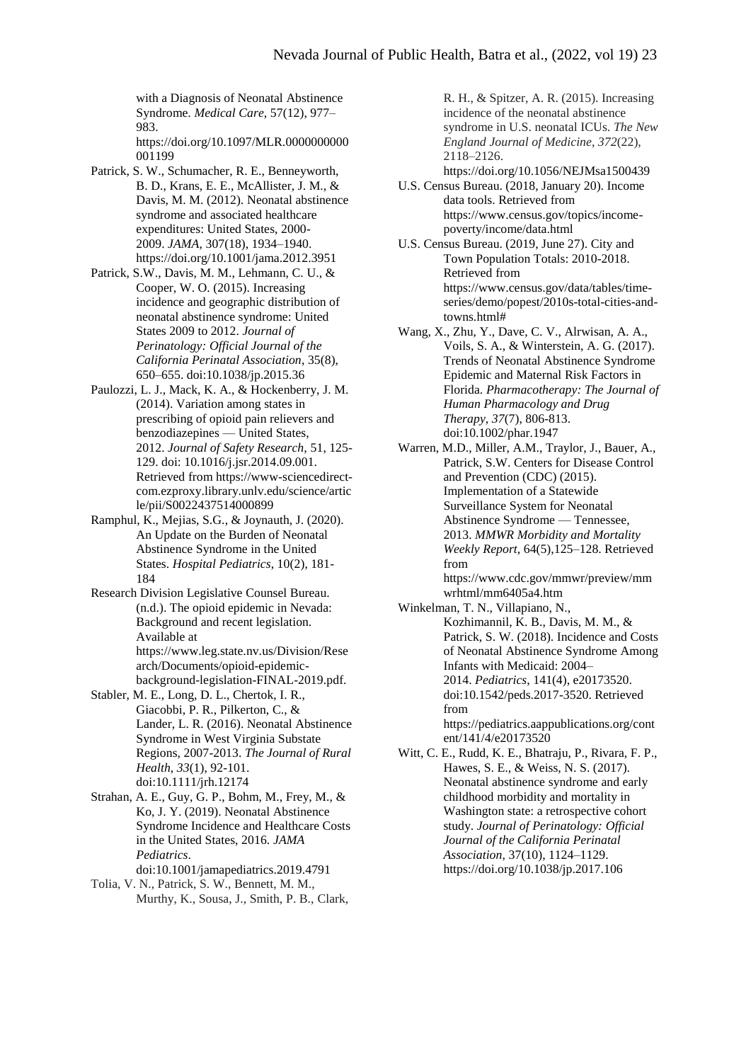with a Diagnosis of Neonatal Abstinence Syndrome. *Medical Care*, 57(12), 977– 983. https://doi.org/10.1097/MLR.0000000000

- 001199 Patrick, S. W., Schumacher, R. E., Benneyworth, B. D., Krans, E. E., McAllister, J. M., & Davis, M. M. (2012). Neonatal abstinence syndrome and associated healthcare expenditures: United States, 2000- 2009. *JAMA*, 307(18), 1934–1940. <https://doi.org/10.1001/jama.2012.3951>
- Patrick, S.W., Davis, M. M., Lehmann, C. U., & Cooper, W. O. (2015). Increasing incidence and geographic distribution of neonatal abstinence syndrome: United States 2009 to 2012. *Journal of Perinatology: Official Journal of the California Perinatal Association*, 35(8), 650–655. doi:10.1038/jp.2015.36
- Paulozzi, L. J., Mack, K. A., & Hockenberry, J. M. (2014). Variation among states in prescribing of opioid pain relievers and benzodiazepines — United States, 2012. *Journal of Safety Research,* 51, 125- 129. doi: 10.1016/j.jsr.2014.09.001. Retrieved from [https://www-sciencedirect](https://www-sciencedirect-com.ezproxy.library.unlv.edu/science/article/pii/S0022437514000899)[com.ezproxy.library.unlv.edu/science/artic](https://www-sciencedirect-com.ezproxy.library.unlv.edu/science/article/pii/S0022437514000899) [le/pii/S0022437514000899](https://www-sciencedirect-com.ezproxy.library.unlv.edu/science/article/pii/S0022437514000899)
- Ramphul, K., Mejias, S.G., & Joynauth, J. (2020). An Update on the Burden of Neonatal Abstinence Syndrome in the United States. *Hospital Pediatrics*, 10(2), 181- 184
- Research Division Legislative Counsel Bureau. (n.d.). The opioid epidemic in Nevada: Background and recent legislation. Available at [https://www.leg.state.nv.us/Division/Rese](https://www.leg.state.nv.us/Division/Research/Documents/opioid-epidemic-background-legislation-FINAL-2019.pdf) [arch/Documents/opioid-epidemic](https://www.leg.state.nv.us/Division/Research/Documents/opioid-epidemic-background-legislation-FINAL-2019.pdf)[background-legislation-FINAL-2019.pdf.](https://www.leg.state.nv.us/Division/Research/Documents/opioid-epidemic-background-legislation-FINAL-2019.pdf)
- Stabler, M. E., Long, D. L., Chertok, I. R., Giacobbi, P. R., Pilkerton, C., & Lander, L. R. (2016). Neonatal Abstinence Syndrome in West Virginia Substate Regions, 2007-2013. *The Journal of Rural Health*, *33*(1), 92-101. doi:10.1111/jrh.12174
- Strahan, A. E., Guy, G. P., Bohm, M., Frey, M., & Ko, J. Y. (2019). Neonatal Abstinence Syndrome Incidence and Healthcare Costs in the United States, 2016. *JAMA Pediatrics*. doi:10.1001/jamapediatrics.2019.4791
- Tolia, V. N., Patrick, S. W., Bennett, M. M., Murthy, K., Sousa, J., Smith, P. B., Clark,

R. H., & Spitzer, A. R. (2015). Increasing incidence of the neonatal abstinence syndrome in U.S. neonatal ICUs. *The New England Journal of Medicine*, *372*(22), 2118–2126. https://doi.org/10.1056/NEJMsa1500439

- U.S. Census Bureau. (2018, January 20). Income data tools. Retrieved from [https://www.census.gov/topics/income](https://www.census.gov/topics/income-poverty/income/data.html)[poverty/income/data.html](https://www.census.gov/topics/income-poverty/income/data.html)
- U.S. Census Bureau. (2019, June 27). City and Town Population Totals: 2010-2018. Retrieved from [https://www.census.gov/data/tables/time](https://www.census.gov/data/tables/time-series/demo/popest/2010s-total-cities-and-towns.html)[series/demo/popest/2010s-total-cities-and](https://www.census.gov/data/tables/time-series/demo/popest/2010s-total-cities-and-towns.html)[towns.html#](https://www.census.gov/data/tables/time-series/demo/popest/2010s-total-cities-and-towns.html)
- Wang, X., Zhu, Y., Dave, C. V., Alrwisan, A. A., Voils, S. A., & Winterstein, A. G. (2017). Trends of Neonatal Abstinence Syndrome Epidemic and Maternal Risk Factors in Florida. *Pharmacotherapy: The Journal of Human Pharmacology and Drug Therapy*, *37*(7), 806-813. doi:10.1002/phar.1947
- Warren, M.D., Miller, A.M., Traylor, J., Bauer, A., Patrick, S.W. Centers for Disease Control and Prevention (CDC) (2015). Implementation of a Statewide Surveillance System for Neonatal Abstinence Syndrome — Tennessee, 2013. *MMWR Morbidity and Mortality Weekly Report*, 64(5),125–128. Retrieved from [https://www.cdc.gov/mmwr/preview/mm](https://www.cdc.gov/mmwr/preview/mmwrhtml/mm6405a4.htm) [wrhtml/mm6405a4.htm](https://www.cdc.gov/mmwr/preview/mmwrhtml/mm6405a4.htm)
- Winkelman, T. N., Villapiano, N., Kozhimannil, K. B., Davis, M. M., & Patrick, S. W. (2018). Incidence and Costs of Neonatal Abstinence Syndrome Among Infants with Medicaid: 2004– 2014. *Pediatrics*, 141(4), e20173520. doi:10.1542/peds.2017-3520. Retrieved from [https://pediatrics.aappublications.org/cont](https://pediatrics.aappublications.org/content/141/4/e20173520)

[ent/141/4/e20173520](https://pediatrics.aappublications.org/content/141/4/e20173520) Witt, C. E., Rudd, K. E., Bhatraju, P., Rivara, F. P.,

Hawes, S. E., & Weiss, N. S. (2017). Neonatal abstinence syndrome and early childhood morbidity and mortality in Washington state: a retrospective cohort study. *Journal of Perinatology: Official Journal of the California Perinatal Association,* 37(10), 1124–1129. https://doi.org/10.1038/jp.2017.106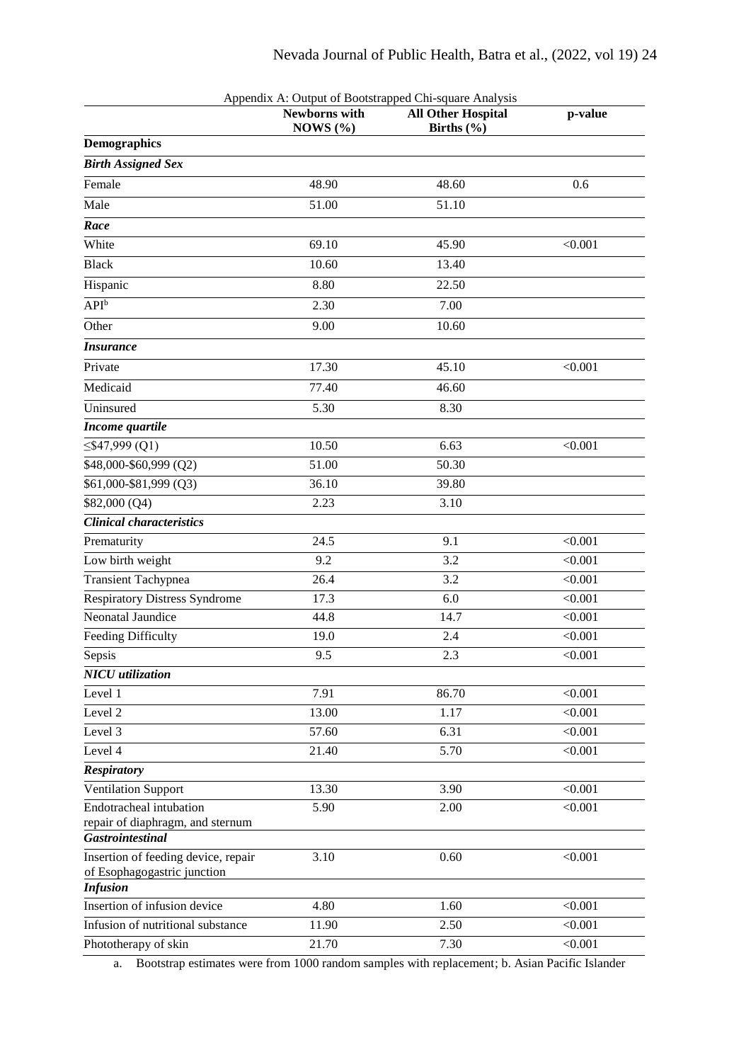|                                                             |                               | Appendix A: Output of Bootstrapped Chi-square Analysis |         |
|-------------------------------------------------------------|-------------------------------|--------------------------------------------------------|---------|
|                                                             | Newborns with<br>NOWS $(\% )$ | <b>All Other Hospital</b><br>Births $(\% )$            | p-value |
| <b>Demographics</b>                                         |                               |                                                        |         |
| <b>Birth Assigned Sex</b>                                   |                               |                                                        |         |
| Female                                                      | 48.90                         | 48.60                                                  | 0.6     |
| Male                                                        | 51.00                         | 51.10                                                  |         |
| Race                                                        |                               |                                                        |         |
| White                                                       | 69.10                         | 45.90                                                  | < 0.001 |
| <b>Black</b>                                                | 10.60                         | 13.40                                                  |         |
| Hispanic                                                    | 8.80                          | 22.50                                                  |         |
| $API^b$                                                     | 2.30                          | 7.00                                                   |         |
| Other                                                       | 9.00                          | 10.60                                                  |         |
| <b>Insurance</b>                                            |                               |                                                        |         |
| Private                                                     | 17.30                         | 45.10                                                  | < 0.001 |
| Medicaid                                                    | 77.40                         | 46.60                                                  |         |
| Uninsured                                                   | 5.30                          | 8.30                                                   |         |
| Income quartile                                             |                               |                                                        |         |
| $\leq$ \$47,999 (Q1)                                        | 10.50                         | 6.63                                                   | < 0.001 |
| \$48,000-\$60,999 (Q2)                                      | 51.00                         | 50.30                                                  |         |
| \$61,000-\$81,999 (Q3)                                      | 36.10                         | 39.80                                                  |         |
| \$82,000 (Q4)                                               | 2.23                          | 3.10                                                   |         |
| <b>Clinical characteristics</b>                             |                               |                                                        |         |
| Prematurity                                                 | 24.5                          | 9.1                                                    | < 0.001 |
| Low birth weight                                            | 9.2                           | 3.2                                                    | < 0.001 |
| <b>Transient Tachypnea</b>                                  | 26.4                          | 3.2                                                    | < 0.001 |
| <b>Respiratory Distress Syndrome</b>                        | 17.3                          | 6.0                                                    | < 0.001 |
| Neonatal Jaundice                                           | 44.8                          | 14.7                                                   | < 0.001 |
| Feeding Difficulty                                          | 19.0                          | 2.4                                                    | < 0.001 |
| Sepsis                                                      | 9.5                           | 2.3                                                    | < 0.001 |
| <b>NICU</b> utilization                                     |                               |                                                        |         |
| Level 1                                                     | 7.91                          | 86.70                                                  | < 0.001 |
| Level 2                                                     | 13.00                         | 1.17                                                   | < 0.001 |
| Level 3                                                     | 57.60                         | 6.31                                                   | < 0.001 |
| Level 4                                                     | 21.40                         | 5.70                                                   | < 0.001 |
| <b>Respiratory</b>                                          |                               |                                                        |         |
| <b>Ventilation Support</b>                                  | 13.30                         | 3.90                                                   | < 0.001 |
| <b>Endotracheal</b> intubation                              | 5.90                          | 2.00                                                   | < 0.001 |
| repair of diaphragm, and sternum<br><b>Gastrointestinal</b> |                               |                                                        |         |
| Insertion of feeding device, repair                         | 3.10                          | 0.60                                                   | < 0.001 |
| of Esophagogastric junction                                 |                               |                                                        |         |
| <b>Infusion</b><br>Insertion of infusion device             | 4.80                          | 1.60                                                   | < 0.001 |
| Infusion of nutritional substance                           | 11.90                         | 2.50                                                   | < 0.001 |
| Phototherapy of skin                                        | 21.70                         | 7.30                                                   | < 0.001 |
|                                                             |                               |                                                        |         |

a. Bootstrap estimates were from 1000 random samples with replacement; b. Asian Pacific Islander